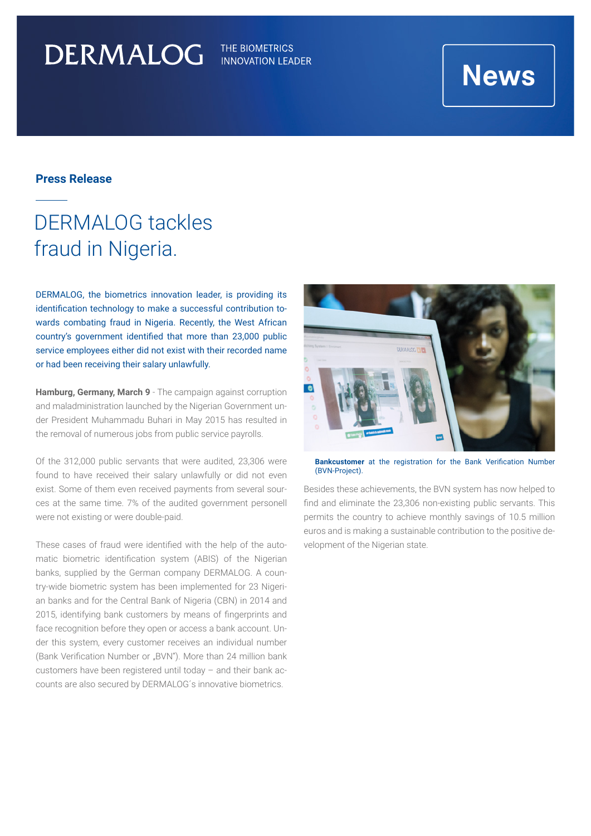# DERMALOG

THE BIOMETRICS **INNOVATION LEADER** 

## **News**

### **Press Release**

## DERMALOG tackles fraud in Nigeria.

DERMALOG, the biometrics innovation leader, is providing its identification technology to make a successful contribution towards combating fraud in Nigeria. Recently, the West African country's government identified that more than 23,000 public service employees either did not exist with their recorded name or had been receiving their salary unlawfully.

**Hamburg, Germany, March 9** - The campaign against corruption and maladministration launched by the Nigerian Government under President Muhammadu Buhari in May 2015 has resulted in the removal of numerous jobs from public service payrolls.

Of the 312,000 public servants that were audited, 23,306 were found to have received their salary unlawfully or did not even exist. Some of them even received payments from several sources at the same time. 7% of the audited government personell were not existing or were double-paid.

These cases of fraud were identified with the help of the automatic biometric identification system (ABIS) of the Nigerian banks, supplied by the German company DERMALOG. A country-wide biometric system has been implemented for 23 Nigerian banks and for the Central Bank of Nigeria (CBN) in 2014 and 2015, identifying bank customers by means of fingerprints and face recognition before they open or access a bank account. Under this system, every customer receives an individual number (Bank Verification Number or "BVN"). More than 24 million bank customers have been registered until today – and their bank accounts are also secured by DERMALOG´s innovative biometrics.



**Bankcustomer** at the registration for the Bank Verification Number (BVN-Project).

Besides these achievements, the BVN system has now helped to find and eliminate the 23,306 non-existing public servants. This permits the country to achieve monthly savings of 10.5 million euros and is making a sustainable contribution to the positive development of the Nigerian state.